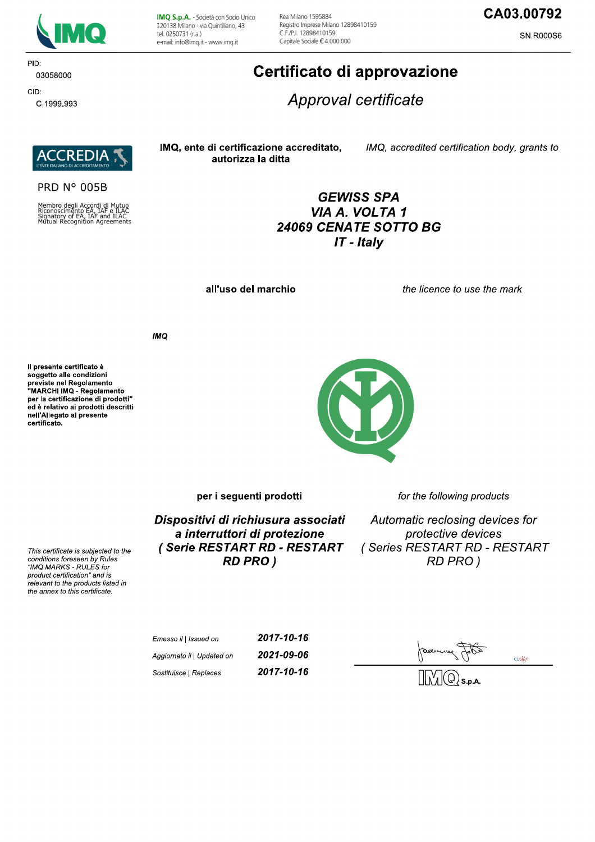

IMQ S.p.A. - Società con Socio Unico I 20138 Milano - via Quintiliano, 43 tel. 0250731 (r.a.) e-mail: info@imq.it - www.imq.it

Rea Milano 1595884 Registro Imprese Milano 12898410159 C F /P | 12898410159 Capitale Sociale €4.000.000

# CA03.00792

**SN.R000S6** 

#### PID: 03058000

CID: C.1999.993

**REDI** 

**PRD N° 005B** 

Membro degli Accordi di Mutuo<br>Riconoscimento EA, IAF e ILAC<br>Signatory of EA, IAF and ILAC<br>Mutual Recognition Agreements

Certificato di approvazione

Approval certificate

IMQ, ente di certificazione accreditato, autorizza la ditta

IMQ, accredited certification body, grants to

# **GEWISS SPA** VIA A. VOLTA 1 24069 CENATE SOTTO BG  $IT$  - Italy

all'uso del marchio

the licence to use the mark

**IMO** 

Il presente certificato è soggetto alle condizioni Soggetto and containmento<br>previste nel Regolamento<br>"MARCHI IMQ - Regolamento per la certificazione di prodotti" ed è relativo ai prodotti descritti nell'Allegato al presente certificato.

This certificate is subjected to the conditions foreseen by Rules

"IMQ MARKS - RULES for product certification" and is relevant to the products listed in the annex to this certificate.



per i seguenti prodotti

Dispositivi di richiusura associati a interruttori di protezione (Serie RESTART RD - RESTART **RD PRO)** 

for the following products

Automatic reclosing devices for protective devices (Series RESTART RD - RESTART **RD PRO)** 

| Emesso il   Issued on      | 2017-10-16 |
|----------------------------|------------|
| Aggiornato il   Updated on | 2021-09-06 |
| Sostituisce   Replaces     | 2017-10-16 |

cosign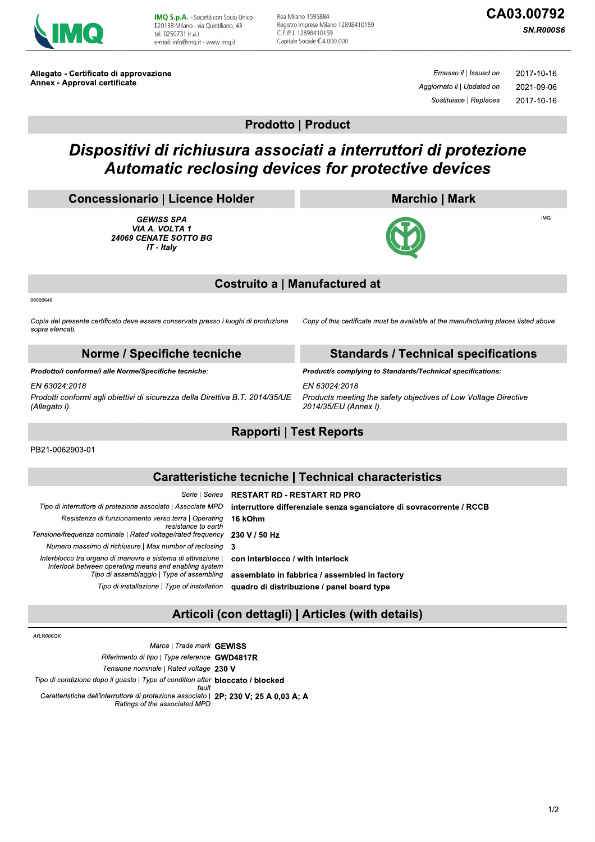

IMQ S.p.A. - Società con Socio Unico 120138 Milano - via Quintiliano, 43 tel. 0250731 (r.a.) e-mail: info@img.it - www.img.it

Rea Milano 1595884 Registro Imprese Milano 12898410159 C F /P | 12898410159 Capitale Sociale €4.000.000

**SN.R000S6** 

Allegato - Certificato di approvazione **Annex - Approval certificate** 

Emesso il | Issued on 2017-10-16 Aggiornato il | Updated on 2021-09-06 Sostituisce | Replaces 2017-10-16

## **Prodotto | Product**

# Dispositivi di richiusura associati a interruttori di protezione Automatic reclosing devices for protective devices

#### **Concessionario | Licence Holder**

**GEWISS SPA** VIA A. VOLTA 1 24069 CENATE SOTTO BG IT - Italy

## **Marchio | Mark**



 $IMO$ 

# **Costruito a | Manufactured at**

99000646

Copia del presente certificato deve essere conservata presso i luoghi di produzione sopra elencati.

Copy of this certificate must be available at the manufacturing places listed above

**Standards / Technical specifications** 

#### Norme / Specifiche tecniche

Prodotto/i conforme/i alle Norme/Specifiche tecniche:

 $FN$  63024:2018 Prodotti conformi agli obiettivi di sicurezza della Direttiva B.T. 2014/35/UE (Allegato I).

Product/s complying to Standards/Technical specifications: EN 63024:2018

Products meeting the safety objectives of Low Voltage Directive 2014/35/EU (Annex I).

## **Rapporti | Test Reports**

PB21-0062903-01

# **Caratteristiche tecniche | Technical characteristics**

**RESTART RD - RESTART RD PRO** Serie | Series Tipo di interruttore di protezione associato | Associate MPD interruttore differenziale senza sganciatore di sovracorrente / RCCB Resistenza di funzionamento verso terra | Operating 16 kOhm resistance to earth Tensione/frequenza nominale | Rated voltage/rated frequency 230 V / 50 Hz Numero massimo di richiusure | Max number of reclosing  $\mathbf{3}$ Interblocco tra organo di manovra e sistema di attivazione | con interblocco / with interlock Interlock between operating means and enabling system Tipo di assemblaggio | Type of assembling assemblato in fabbrica / assembled in factory Tipo di installazione | Type of installation quadro di distribuzione / panel board type

# Articoli (con dettagli) | Articles (with details)

AR ROOSOK

Marca | Trade mark GEWISS Riferimento di tipo | Type reference GWD4817R Tensione nominale | Rated voltage 230 V Tipo di condizione dopo il guasto | Type of condition after **bloccato / blocked** fault Caratteristiche dell'interruttore di protezione associato | 2P: 230 V: 25 A 0.03 A: A Ratings of the associated MPD